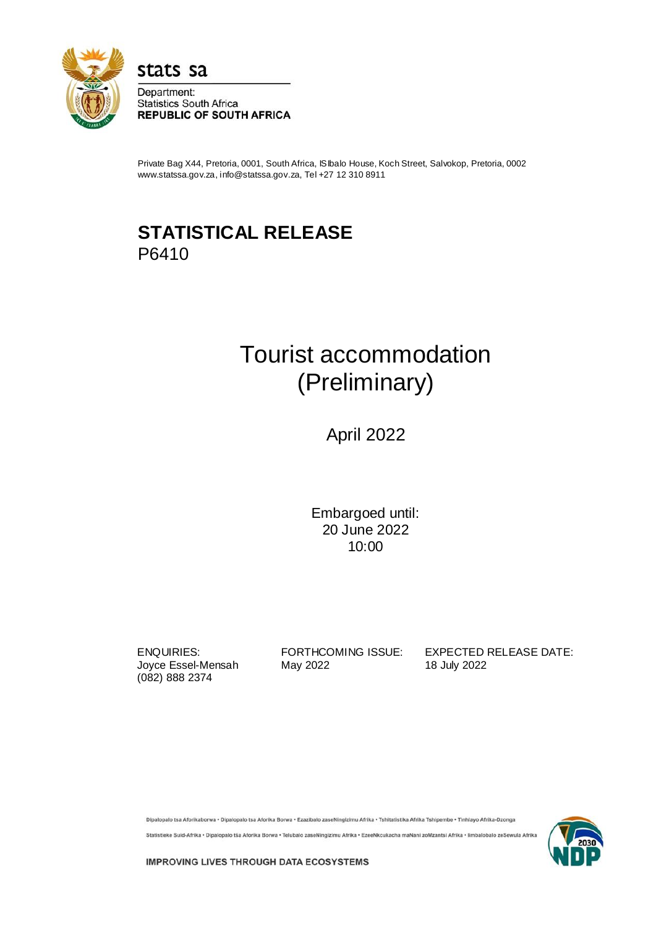

stats sa Department:

**Statistics South Africa REPUBLIC OF SOUTH AFRICA** 

Private Bag X44, Pretoria, 0001, South Africa, ISIbalo House, Koch Street, Salvokop, Pretoria, 0002 www.statssa.gov.za, info@statssa.gov.za, Tel +27 12 310 8911

## **STATISTICAL RELEASE** P6410

# Tourist accommodation (Preliminary)

April 2022

Embargoed until: 20 June 2022 10:00

(082) 888 2374

Joyce Essel-Mensah May 2022 18 July 2022

ENQUIRIES: FORTHCOMING ISSUE: EXPECTED RELEASE DATE:

Dipalopalo tsa Aforikaborwa • Dipalopalo tsa Aforika Borwa • Ezazibalo zaseNingizimu Afrika • Tshitatistika Afrika Tshipembe • Tinhlayo Afrika-Dzonga

Statistieke Suid-Afrika • Dipalopalo tša Aforika Borwa • Telubalo zaseNingizimu Afrika • EzeeNkcukacha maNani zoMzantsi Afrika • limbalobalo zeSewula Afrika



**IMPROVING LIVES THROUGH DATA ECOSYSTEMS**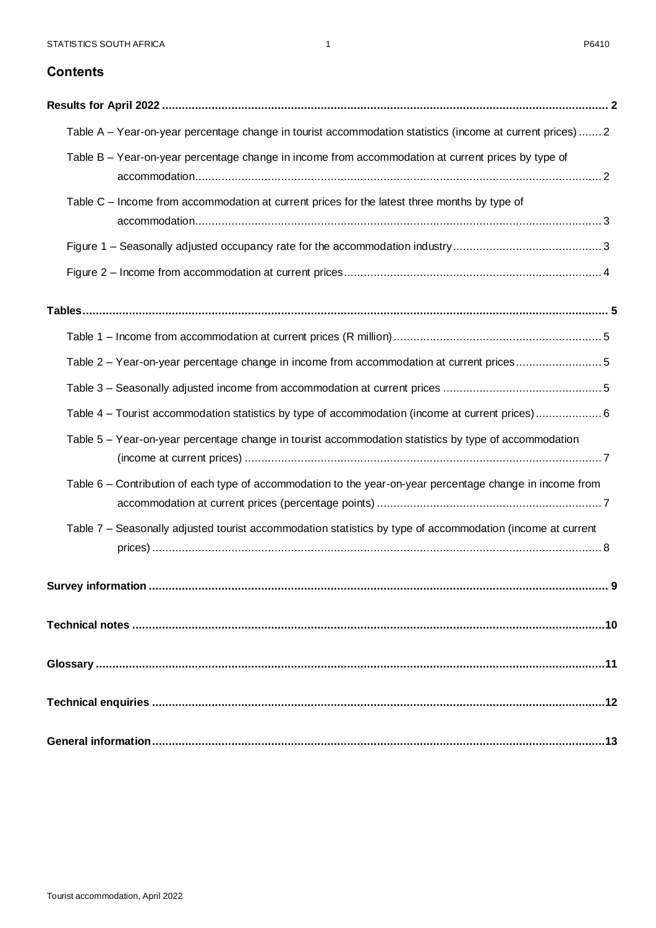### **Contents**

| Table A - Year-on-year percentage change in tourist accommodation statistics (income at current prices) 2  |
|------------------------------------------------------------------------------------------------------------|
| Table B - Year-on-year percentage change in income from accommodation at current prices by type of         |
| Table C – Income from accommodation at current prices for the latest three months by type of               |
|                                                                                                            |
|                                                                                                            |
|                                                                                                            |
|                                                                                                            |
| Table 2 - Year-on-year percentage change in income from accommodation at current prices5                   |
|                                                                                                            |
| Table 4 – Tourist accommodation statistics by type of accommodation (income at current prices)6            |
| Table 5 - Year-on-year percentage change in tourist accommodation statistics by type of accommodation      |
| Table 6 – Contribution of each type of accommodation to the year-on-year percentage change in income from  |
| Table 7 - Seasonally adjusted tourist accommodation statistics by type of accommodation (income at current |
| Survey information<br>9                                                                                    |
|                                                                                                            |
|                                                                                                            |
|                                                                                                            |
|                                                                                                            |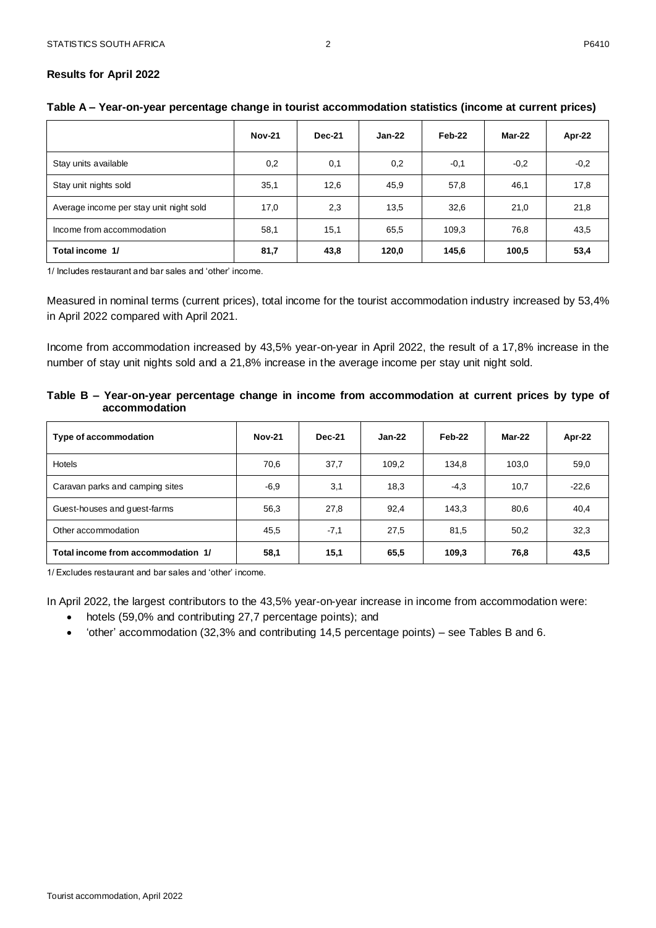#### <span id="page-2-0"></span>**Results for April 2022**

<span id="page-2-1"></span>

| Table A - Year-on-year percentage change in tourist accommodation statistics (income at current prices) |  |  |
|---------------------------------------------------------------------------------------------------------|--|--|
|---------------------------------------------------------------------------------------------------------|--|--|

|                                         | <b>Nov-21</b> | <b>Dec-21</b> | $Jan-22$ | Feb-22 | Mar-22 | Apr-22 |
|-----------------------------------------|---------------|---------------|----------|--------|--------|--------|
| Stay units available                    | 0,2           | 0,1           | 0,2      | $-0,1$ | $-0,2$ | $-0,2$ |
| Stay unit nights sold                   | 35,1          | 12,6          | 45,9     | 57,8   | 46,1   | 17,8   |
| Average income per stay unit night sold | 17,0          | 2,3           | 13,5     | 32,6   | 21,0   | 21,8   |
| Income from accommodation               | 58,1          | 15,1          | 65,5     | 109.3  | 76,8   | 43,5   |
| Total income 1/                         | 81,7          | 43,8          | 120,0    | 145,6  | 100,5  | 53,4   |

1/ Includes restaurant and bar sales and 'other' income.

Measured in nominal terms (current prices), total income for the tourist accommodation industry increased by 53,4% in April 2022 compared with April 2021.

Income from accommodation increased by 43,5% year-on-year in April 2022, the result of a 17,8% increase in the number of stay unit nights sold and a 21,8% increase in the average income per stay unit night sold.

<span id="page-2-2"></span>**Table B – Year-on-year percentage change in income from accommodation at current prices by type of accommodation**

| Type of accommodation              | <b>Nov-21</b> | <b>Dec-21</b> | $Jan-22$ | Feb-22 | Mar-22 | Apr-22  |
|------------------------------------|---------------|---------------|----------|--------|--------|---------|
| Hotels                             | 70,6          | 37,7          | 109.2    | 134.8  | 103.0  | 59,0    |
| Caravan parks and camping sites    | $-6,9$        | 3,1           | 18,3     | $-4,3$ | 10,7   | $-22.6$ |
| Guest-houses and guest-farms       | 56,3          | 27,8          | 92.4     | 143.3  | 80,6   | 40,4    |
| Other accommodation                | 45,5          | $-7,1$        | 27,5     | 81,5   | 50,2   | 32,3    |
| Total income from accommodation 1/ | 58,1          | 15,1          | 65,5     | 109,3  | 76,8   | 43,5    |

1/ Excludes restaurant and bar sales and 'other' income.

In April 2022, the largest contributors to the 43,5% year-on-year increase in income from accommodation were:

- hotels (59,0% and contributing 27,7 percentage points); and
- 'other' accommodation (32,3% and contributing 14,5 percentage points) see Tables B and 6.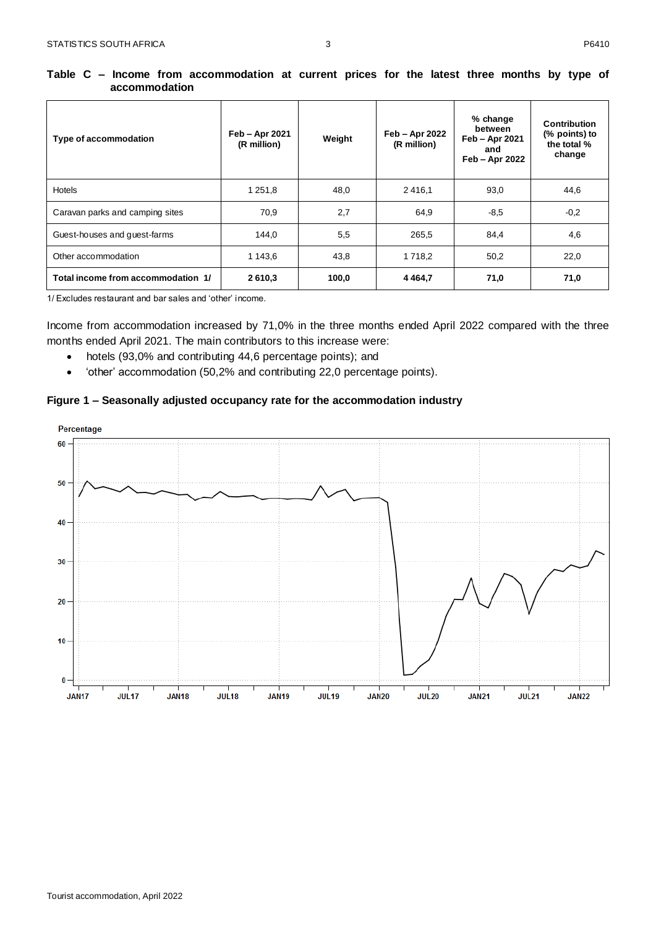| Type of accommodation              | Feb - Apr 2021<br>(R million) | Weight | Feb - Apr 2022<br>(R million) | % change<br>between<br>Feb - Apr 2021<br>and<br>Feb - Apr 2022 | <b>Contribution</b><br>(% points) to<br>the total %<br>change |
|------------------------------------|-------------------------------|--------|-------------------------------|----------------------------------------------------------------|---------------------------------------------------------------|
| Hotels                             | 1 251,8                       | 48,0   | 2416,1                        | 93,0                                                           | 44,6                                                          |
| Caravan parks and camping sites    | 70,9                          | 2,7    | 64,9                          | $-8,5$                                                         | $-0,2$                                                        |
| Guest-houses and guest-farms       | 144,0                         | 5,5    | 265,5                         | 84,4                                                           | 4,6                                                           |
| Other accommodation                | 1 143,6                       | 43,8   | 1 7 1 8 , 2                   | 50,2                                                           | 22,0                                                          |
| Total income from accommodation 1/ | 2610,3                        | 100,0  | 4 4 6 4 , 7                   | 71,0                                                           | 71,0                                                          |

<span id="page-3-0"></span>**Table C – Income from accommodation at current prices for the latest three months by type of accommodation**

1/ Excludes restaurant and bar sales and 'other' income.

Income from accommodation increased by 71,0% in the three months ended April 2022 compared with the three months ended April 2021. The main contributors to this increase were:

- hotels (93,0% and contributing 44,6 percentage points); and
- 'other' accommodation (50,2% and contributing 22,0 percentage points).

#### <span id="page-3-1"></span>**Figure 1 – Seasonally adjusted occupancy rate for the accommodation industry**

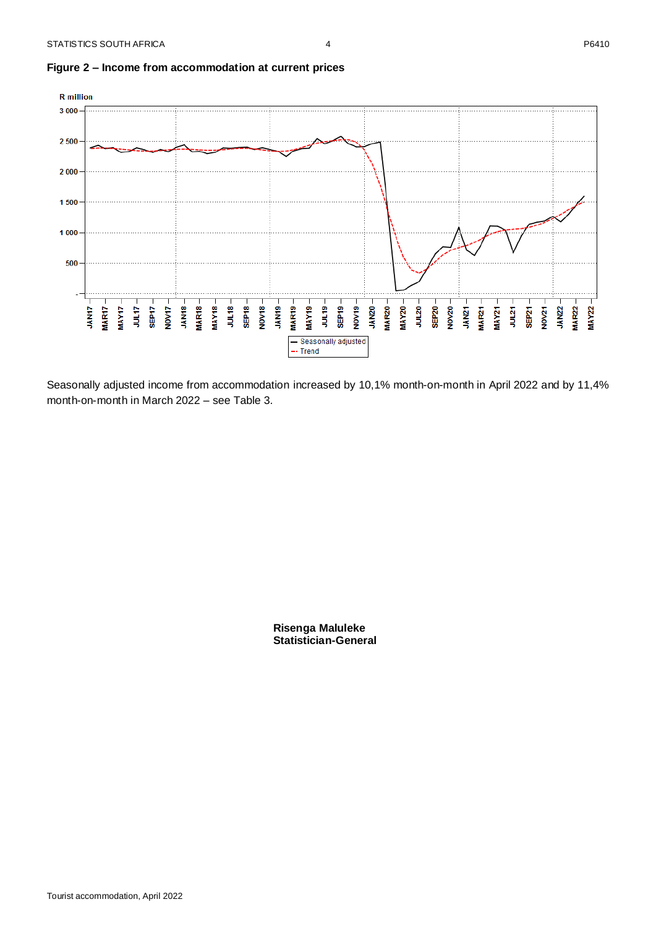

#### <span id="page-4-0"></span>**Figure 2 – Income from accommodation at current prices**

Seasonally adjusted income from accommodation increased by 10,1% month-on-month in April 2022 and by 11,4% month-on-month in March 2022 – see Table 3.

> **Risenga Maluleke Statistician-General**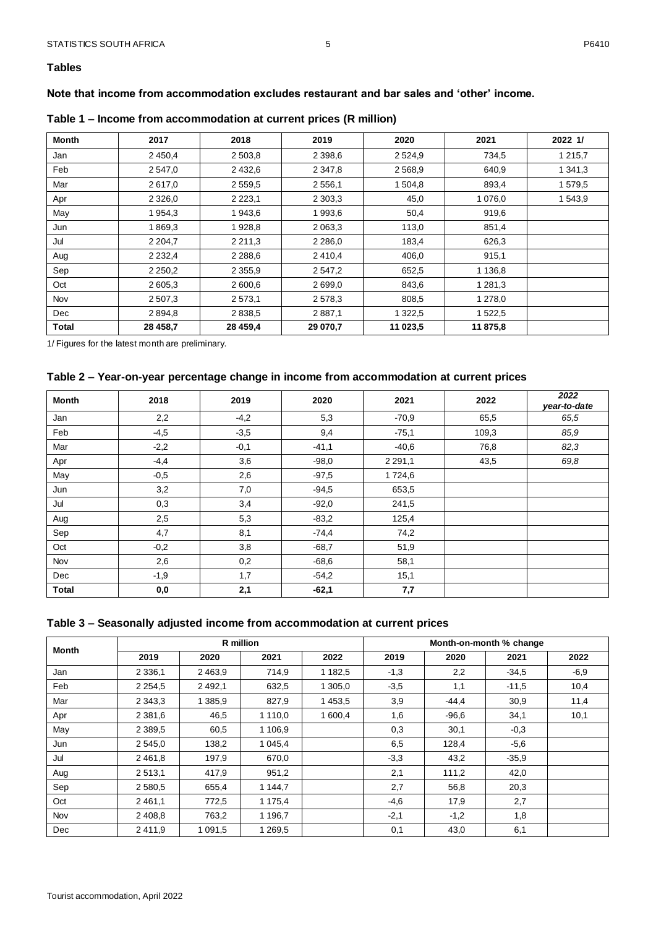#### <span id="page-5-0"></span>**Tables**

#### **Note that income from accommodation excludes restaurant and bar sales and 'other' income.**

| <b>Month</b> | 2017        | 2018        | 2019        | 2020        | 2021        | 2022 1/     |
|--------------|-------------|-------------|-------------|-------------|-------------|-------------|
| Jan          | 2 4 5 0 , 4 | 2 503,8     | 2 3 9 8 , 6 | 2 5 2 4 9   | 734,5       | 1 2 1 5 , 7 |
| Feb          | 2 547,0     | 2 4 3 2.6   | 2 3 4 7 , 8 | 2 5 6 8 , 9 | 640,9       | 1 341,3     |
| Mar          | 2617,0      | 2 5 5 9 . 5 | 2556,1      | 1 504,8     | 893,4       | 1579,5      |
| Apr          | 2 3 2 6 , 0 | 2 2 2 3 , 1 | 2 3 0 3 , 3 | 45,0        | 1 0 7 6 , 0 | 1 543,9     |
| May          | 1954,3      | 1943,6      | 1993,6      | 50,4        | 919,6       |             |
| Jun          | 1869,3      | 1928,8      | 2 0 6 3 , 3 | 113,0       | 851,4       |             |
| Jul          | 2 2 0 4 , 7 | 2 2 1 1 , 3 | 2 2 8 6 , 0 | 183,4       | 626,3       |             |
| Aug          | 2 2 3 2 , 4 | 2 2 8 8 . 6 | 2410,4      | 406,0       | 915,1       |             |
| Sep          | 2 2 5 0 , 2 | 2 3 5 5 , 9 | 2 547,2     | 652,5       | 1 1 3 6 , 8 |             |
| Oct          | 2 605,3     | 2 600,6     | 2699,0      | 843,6       | 1 2 8 1 , 3 |             |
| Nov          | 2 507,3     | 2573,1      | 2 5 7 8 , 3 | 808,5       | 1 278,0     |             |
| Dec          | 2894,8      | 2838,5      | 2887,1      | 1 3 2 2 .5  | 1 522,5     |             |
| <b>Total</b> | 28 458,7    | 28 459,4    | 29 070,7    | 11 023,5    | 11875,8     |             |

#### <span id="page-5-1"></span>**Table 1 – Income from accommodation at current prices (R million)**

1/ Figures for the latest month are preliminary.

#### <span id="page-5-2"></span>**Table 2 – Year-on-year percentage change in income from accommodation at current prices**

| Month        | 2018   | 2019   | 2020    | 2021        | 2022  | 2022<br>year-to-date |
|--------------|--------|--------|---------|-------------|-------|----------------------|
| Jan          | 2,2    | $-4,2$ | 5,3     | $-70,9$     | 65,5  | 65,5                 |
| Feb          | $-4,5$ | $-3,5$ | 9,4     | $-75,1$     | 109,3 | 85,9                 |
| Mar          | $-2,2$ | $-0,1$ | $-41,1$ | $-40,6$     | 76,8  | 82,3                 |
| Apr          | $-4,4$ | 3,6    | $-98,0$ | 2 2 9 1 , 1 | 43,5  | 69,8                 |
| May          | $-0,5$ | 2,6    | $-97,5$ | 1724,6      |       |                      |
| Jun          | 3,2    | 7,0    | $-94.5$ | 653,5       |       |                      |
| Jul          | 0,3    | 3,4    | $-92,0$ | 241,5       |       |                      |
| Aug          | 2,5    | 5,3    | $-83,2$ | 125,4       |       |                      |
| Sep          | 4,7    | 8,1    | $-74,4$ | 74,2        |       |                      |
| Oct          | $-0,2$ | 3,8    | $-68,7$ | 51,9        |       |                      |
| Nov          | 2,6    | 0,2    | $-68,6$ | 58,1        |       |                      |
| Dec          | $-1,9$ | 1,7    | $-54,2$ | 15,1        |       |                      |
| <b>Total</b> | 0,0    | 2,1    | $-62,1$ | 7,7         |       |                      |

#### <span id="page-5-3"></span>**Table 3 – Seasonally adjusted income from accommodation at current prices**

| Month |             | R million   |             |              |        |         | Month-on-month % change |        |
|-------|-------------|-------------|-------------|--------------|--------|---------|-------------------------|--------|
|       | 2019        | 2020        | 2021        | 2019<br>2022 |        | 2020    | 2021                    | 2022   |
| Jan   | 2 3 3 6 1   | 2 4 6 3 .9  | 714,9       | 1 1 8 2 , 5  | $-1,3$ | 2,2     | $-34.5$                 | $-6,9$ |
| Feb   | 2 2 5 4 , 5 | 2 4 9 2 , 1 | 632,5       | 1 305,0      | $-3.5$ | 1,1     | $-11,5$                 | 10,4   |
| Mar   | 2 3 4 3 , 3 | 1 385,9     | 827,9       | 1453,5       | 3,9    | $-44.4$ | 30,9                    | 11,4   |
| Apr   | 2 3 8 1 .6  | 46,5        | 1 1 1 0 , 0 | 1 600.4      | 1,6    | $-96,6$ | 34,1                    | 10,1   |
| May   | 2 3 8 9 .5  | 60,5        | 1 106,9     |              | 0,3    | 30,1    | $-0,3$                  |        |
| Jun   | 2 5 4 5 .0  | 138,2       | 1 0 4 5 , 4 |              | 6,5    | 128,4   | $-5.6$                  |        |
| Jul   | 2 4 6 1 , 8 | 197,9       | 670,0       |              | $-3,3$ | 43,2    | $-35.9$                 |        |
| Aug   | 2513,1      | 417,9       | 951,2       |              | 2,1    | 111,2   | 42,0                    |        |
| Sep   | 2 5 8 0 , 5 | 655,4       | 1 144,7     |              | 2,7    | 56,8    | 20,3                    |        |
| Oct   | 2 4 6 1 , 1 | 772,5       | 1 175,4     |              | $-4,6$ | 17,9    | 2,7                     |        |
| Nov   | 2 4 0 8 , 8 | 763,2       | 1 1 9 6 , 7 |              | $-2,1$ | $-1,2$  | 1,8                     |        |
| Dec   | 2411.9      | 1 0 9 1 .5  | 1 269,5     |              | 0,1    | 43,0    | 6,1                     |        |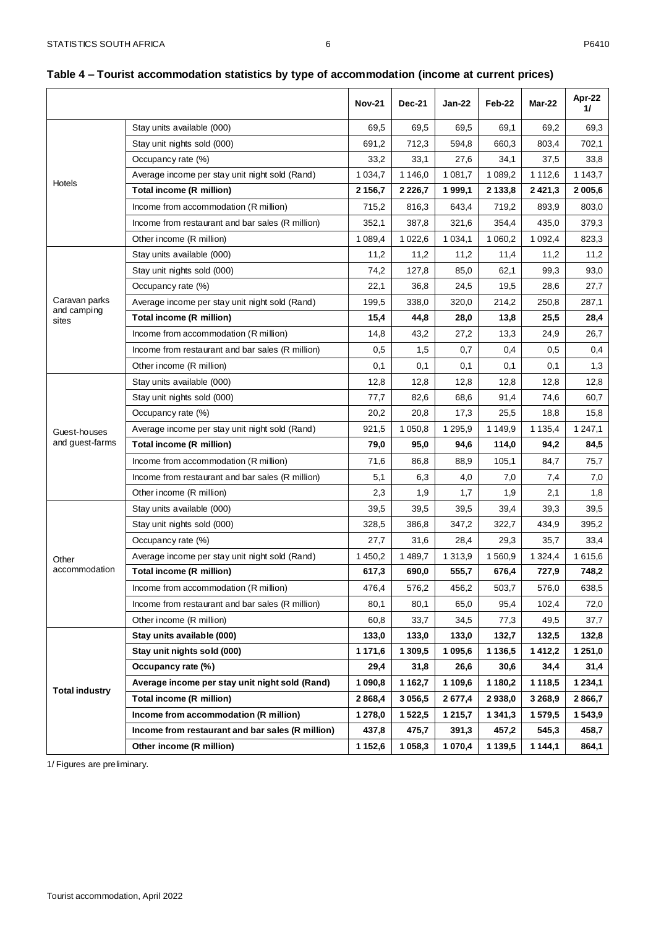|                       |                                                  | <b>Nov-21</b> | <b>Dec-21</b> | Jan-22      | Feb-22      | Mar-22      | Apr-22<br>11 |
|-----------------------|--------------------------------------------------|---------------|---------------|-------------|-------------|-------------|--------------|
|                       | Stay units available (000)                       | 69,5          | 69,5          | 69,5        | 69,1        | 69,2        | 69,3         |
|                       | Stay unit nights sold (000)                      | 691,2         | 712,3         | 594,8       | 660,3       | 803,4       | 702,1        |
|                       | Occupancy rate (%)                               | 33,2          | 33,1          | 27,6        | 34,1        | 37,5        | 33,8         |
| Hotels                | Average income per stay unit night sold (Rand)   | 1 0 34,7      | 1 1 4 6,0     | 1 0 8 1 , 7 | 1 0 8 9, 2  | 1 1 1 2,6   | 1 1 4 3 , 7  |
|                       | Total income (R million)                         | 2 1 5 6, 7    | 2 2 2 6,7     | 1999,1      | 2 133,8     | 2421,3      | 2 0 0 5,6    |
|                       | Income from accommodation (R million)            | 715,2         | 816,3         | 643,4       | 719,2       | 893,9       | 803,0        |
|                       | Income from restaurant and bar sales (R million) | 352,1         | 387,8         | 321,6       | 354,4       | 435,0       | 379,3        |
|                       | Other income (R million)                         | 1 0 8 9,4     | 1 0 2 2,6     | 1 0 3 4 , 1 | 1 060,2     | 1 0 9 2,4   | 823,3        |
|                       | Stay units available (000)                       | 11,2          | 11,2          | 11,2        | 11,4        | 11,2        | 11,2         |
|                       | Stay unit nights sold (000)                      | 74,2          | 127,8         | 85,0        | 62,1        | 99,3        | 93,0         |
|                       | Occupancy rate (%)                               | 22,1          | 36,8          | 24,5        | 19,5        | 28,6        | 27,7         |
| Caravan parks         | Average income per stay unit night sold (Rand)   | 199,5         | 338,0         | 320,0       | 214,2       | 250,8       | 287,1        |
| and camping<br>sites  | Total income (R million)                         | 15,4          | 44,8          | 28,0        | 13,8        | 25,5        | 28,4         |
|                       | Income from accommodation (R million)            | 14,8          | 43,2          | 27,2        | 13,3        | 24,9        | 26,7         |
|                       | Income from restaurant and bar sales (R million) | 0,5           | 1,5           | 0,7         | 0,4         | 0,5         | 0,4          |
|                       | Other income (R million)                         | 0,1           | 0,1           | 0,1         | 0,1         | 0,1         | 1,3          |
|                       | Stay units available (000)                       | 12,8          | 12,8          | 12,8        | 12,8        | 12,8        | 12,8         |
|                       | Stay unit nights sold (000)                      | 77,7          | 82,6          | 68,6        | 91,4        | 74,6        | 60,7         |
|                       | Occupancy rate (%)                               | 20,2          | 20,8          | 17,3        | 25,5        | 18,8        | 15,8         |
| Guest-houses          | Average income per stay unit night sold (Rand)   | 921,5         | 1 0 5 0,8     | 1 2 9 5, 9  | 1 1 4 9 , 9 | 1 1 3 5 , 4 | 1 2 4 7, 1   |
| and guest-farms       | Total income (R million)                         | 79,0          | 95,0          | 94,6        | 114,0       | 94,2        | 84,5         |
|                       | Income from accommodation (R million)            | 71,6          | 86,8          | 88,9        | 105,1       | 84,7        | 75,7         |
|                       | Income from restaurant and bar sales (R million) | 5,1           | 6,3           | 4,0         | 7,0         | 7,4         | 7,0          |
|                       | Other income (R million)                         | 2,3           | 1,9           | 1,7         | 1,9         | 2,1         | 1,8          |
|                       | Stay units available (000)                       | 39,5          | 39,5          | 39,5        | 39,4        | 39,3        | 39,5         |
|                       | Stay unit nights sold (000)                      | 328,5         | 386,8         | 347,2       | 322,7       | 434,9       | 395,2        |
|                       | Occupancy rate (%)                               | 27,7          | 31,6          | 28,4        | 29,3        | 35,7        | 33,4         |
| Other                 | Average income per stay unit night sold (Rand)   | 1450,2        | 1489,7        | 1 3 1 3,9   | 1560,9      | 1 3 2 4 , 4 | 1 615,6      |
| accommodation         | <b>Total income (R million)</b>                  | 617,3         | 690,0         | 555,7       | 676,4       | 727,9       | 748,2        |
|                       | Income from accommodation (R million)            | 476,4         | 576,2         | 456,2       | 503,7       | 576,0       | 638,5        |
|                       | Income from restaurant and bar sales (R million) | 80,1          | 80,1          | 65,0        | 95,4        | 102,4       | 72,0         |
|                       | Other income (R million)                         | 60,8          | 33,7          | 34,5        | 77,3        | 49,5        | 37,7         |
|                       | Stay units available (000)                       | 133,0         | 133,0         | 133,0       | 132,7       | 132,5       | 132,8        |
|                       | Stay unit nights sold (000)                      | 1 171,6       | 1 309,5       | 1 095,6     | 1 1 3 6, 5  | 1412,2      | 1 251,0      |
|                       | Occupancy rate (%)                               | 29,4          | 31,8          | 26,6        | 30,6        | 34,4        | 31,4         |
|                       | Average income per stay unit night sold (Rand)   | 1 090,8       | 1 1 6 2 , 7   | 1 109,6     | 1 180,2     | 1 1 1 8 , 5 | 1 2 3 4 , 1  |
| <b>Total industry</b> | Total income (R million)                         | 2868,4        | 3 0 5 6, 5    | 2677,4      | 2938,0      | 3 2 68,9    | 2866,7       |
|                       | Income from accommodation (R million)            | 1 278,0       | 1522,5        | 1 215,7     | 1 341,3     | 1 579,5     | 1 543,9      |
|                       | Income from restaurant and bar sales (R million) | 437,8         | 475,7         | 391,3       | 457,2       | 545,3       | 458,7        |
|                       | Other income (R million)                         | 1 1 5 2 , 6   | 1 058,3       | 1 070,4     | 1 1 3 9, 5  | 1 144,1     | 864,1        |

#### <span id="page-6-0"></span>**Table 4 – Tourist accommodation statistics by type of accommodation (income at current prices)**

1/ Figures are preliminary.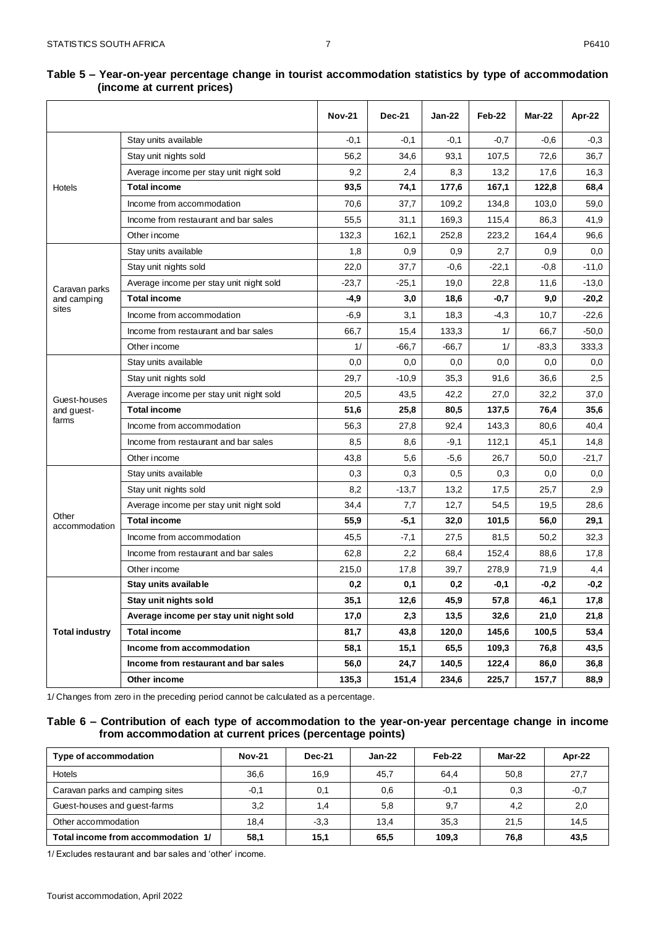|                        |                                         | <b>Nov-21</b> | <b>Dec-21</b> | Jan-22 | Feb-22  | Mar-22  | Apr-22  |
|------------------------|-----------------------------------------|---------------|---------------|--------|---------|---------|---------|
|                        | Stay units available                    | $-0,1$        | $-0,1$        | $-0,1$ | $-0,7$  | $-0.6$  | $-0.3$  |
|                        | Stay unit nights sold                   | 56,2          | 34,6          | 93,1   | 107,5   | 72,6    | 36,7    |
|                        | Average income per stay unit night sold | 9,2           | 2,4           | 8,3    | 13,2    | 17,6    | 16,3    |
| Hotels                 | <b>Total income</b>                     | 93,5          | 74,1          | 177,6  | 167,1   | 122,8   | 68,4    |
|                        | Income from accommodation               | 70,6          | 37,7          | 109,2  | 134,8   | 103,0   | 59,0    |
|                        | Income from restaurant and bar sales    | 55,5          | 31,1          | 169,3  | 115,4   | 86,3    | 41,9    |
|                        |                                         |               |               |        |         |         |         |
|                        | Other income                            | 132,3         | 162,1         | 252,8  | 223,2   | 164,4   | 96,6    |
|                        | Stay units available                    | 1,8           | 0,9           | 0,9    | 2,7     | 0,9     | 0,0     |
|                        | Stay unit nights sold                   | 22,0          | 37,7          | $-0,6$ | $-22,1$ | $-0.8$  | $-11,0$ |
| Caravan parks          | Average income per stay unit night sold | $-23.7$       | $-25,1$       | 19,0   | 22,8    | 11,6    | $-13,0$ |
| and camping<br>sites   | <b>Total income</b>                     | $-4,9$        | 3,0           | 18,6   | $-0,7$  | 9,0     | $-20,2$ |
|                        | Income from accommodation               | $-6,9$        | 3,1           | 18,3   | $-4,3$  | 10,7    | $-22,6$ |
|                        | Income from restaurant and bar sales    | 66,7          | 15,4          | 133,3  | 1/      | 66,7    | $-50,0$ |
|                        | Other income                            | 1/            | $-66,7$       | -66,7  | 1/      | $-83,3$ | 333,3   |
|                        | Stay units available                    | 0,0           | 0,0           | 0,0    | 0,0     | 0,0     | 0,0     |
|                        | Stay unit nights sold                   | 29,7          | $-10,9$       | 35,3   | 91,6    | 36,6    | 2,5     |
| Guest-houses           | Average income per stay unit night sold | 20,5          | 43,5          | 42,2   | 27,0    | 32,2    | 37,0    |
| and guest-             | <b>Total income</b>                     | 51,6          | 25,8          | 80,5   | 137,5   | 76,4    | 35,6    |
| farms                  | Income from accommodation               | 56,3          | 27,8          | 92,4   | 143,3   | 80,6    | 40,4    |
|                        | Income from restaurant and bar sales    | 8,5           | 8,6           | $-9,1$ | 112,1   | 45,1    | 14,8    |
|                        | Other income                            | 43,8          | 5,6           | $-5,6$ | 26,7    | 50,0    | $-21,7$ |
|                        | Stay units available                    | 0,3           | 0,3           | 0,5    | 0,3     | 0,0     | 0,0     |
|                        | Stay unit nights sold                   | 8,2           | $-13,7$       | 13,2   | 17,5    | 25,7    | 2,9     |
|                        | Average income per stay unit night sold | 34,4          | 7,7           | 12,7   | 54,5    | 19,5    | 28,6    |
| Other<br>accommodation | <b>Total income</b>                     | 55,9          | $-5,1$        | 32,0   | 101,5   | 56,0    | 29,1    |
|                        | Income from accommodation               | 45,5          | $-7,1$        | 27,5   | 81,5    | 50,2    | 32,3    |
|                        | Income from restaurant and bar sales    | 62,8          | 2,2           | 68,4   | 152,4   | 88,6    | 17,8    |
|                        | Other income                            | 215,0         | 17,8          | 39,7   | 278,9   | 71,9    | 4,4     |
|                        | Stay units available                    | 0,2           | 0,1           | 0,2    | $-0.1$  | $-0,2$  | $-0,2$  |
|                        | Stay unit nights sold                   | 35,1          | 12,6          | 45,9   | 57,8    | 46,1    | 17,8    |
|                        | Average income per stay unit night sold | 17,0          | 2,3           | 13,5   | 32,6    | 21,0    | 21,8    |
| <b>Total industry</b>  | <b>Total income</b>                     | 81,7          | 43,8          | 120,0  | 145,6   | 100,5   | 53,4    |
|                        | Income from accommodation               | 58,1          | 15,1          | 65,5   | 109,3   | 76,8    | 43,5    |
|                        | Income from restaurant and bar sales    | 56,0          | 24,7          | 140,5  | 122,4   | 86,0    | 36,8    |
|                        | Other income                            | 135,3         | 151,4         | 234,6  | 225,7   | 157,7   | 88,9    |

#### <span id="page-7-0"></span>**Table 5 – Year-on-year percentage change in tourist accommodation statistics by type of accommodation (income at current prices)**

1/ Changes from zero in the preceding period cannot be calculated as a percentage.

#### <span id="page-7-1"></span>**Table 6 – Contribution of each type of accommodation to the year-on-year percentage change in income from accommodation at current prices (percentage points)**

| Type of accommodation              | <b>Nov-21</b> | <b>Dec-21</b> | $Jan-22$ | Feb-22 | Mar-22 | Apr-22 |
|------------------------------------|---------------|---------------|----------|--------|--------|--------|
| Hotels                             | 36.6          | 16,9          | 45,7     | 64,4   | 50,8   | 27,7   |
| Caravan parks and camping sites    | $-0,1$        | 0,1           | 0,6      | $-0.1$ | 0,3    | $-0,7$ |
| Guest-houses and guest-farms       | 3,2           | 1.4           | 5,8      | 9,7    | 4,2    | 2,0    |
| Other accommodation                | 18.4          | $-3.3$        | 13,4     | 35.3   | 21,5   | 14,5   |
| Total income from accommodation 1/ | 58,1          | 15,1          | 65,5     | 109.3  | 76,8   | 43,5   |

1/ Excludes restaurant and bar sales and 'other' income.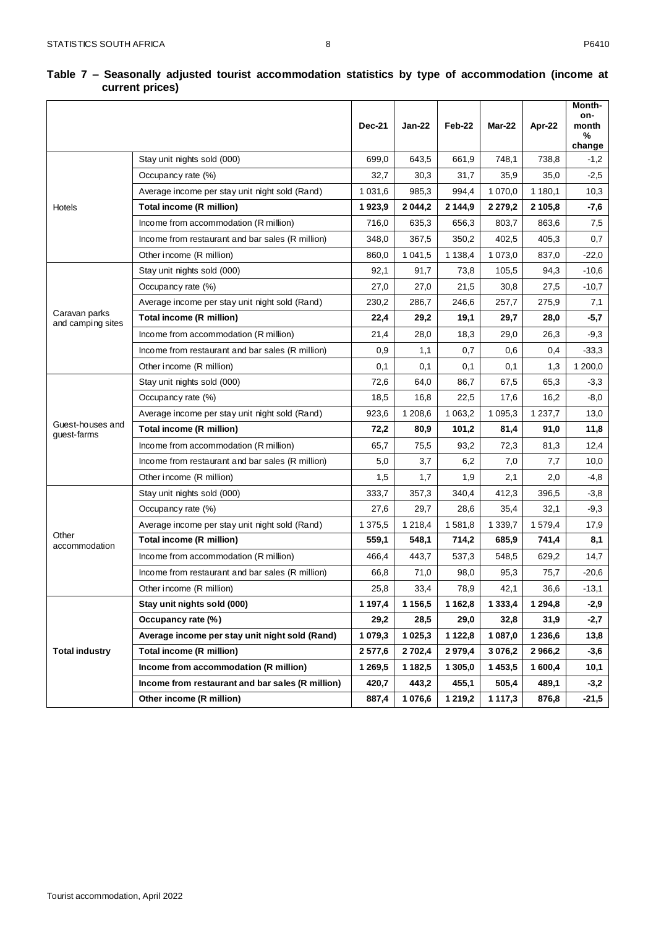#### <span id="page-8-0"></span>**Table 7 – Seasonally adjusted tourist accommodation statistics by type of accommodation (income at current prices)**

|                                    |                                                  | <b>Dec-21</b> | Jan-22      | Feb-22      | Mar-22      | Apr-22     | Month-<br>on-<br>month<br>%<br>change |
|------------------------------------|--------------------------------------------------|---------------|-------------|-------------|-------------|------------|---------------------------------------|
|                                    | Stay unit nights sold (000)                      | 699,0         | 643,5       | 661,9       | 748,1       | 738,8      | $-1,2$                                |
|                                    | Occupancy rate (%)                               | 32,7          | 30,3        | 31,7        | 35,9        | 35,0       | $-2,5$                                |
|                                    | Average income per stay unit night sold (Rand)   | 1 0 3 1 , 6   | 985,3       | 994,4       | 1 070,0     | 1 180,1    | 10,3                                  |
| Hotels                             | Total income (R million)                         | 1923,9        | 2 0 4 4, 2  | 2 144,9     | 2 2 7 9, 2  | 2 105.8    | -7,6                                  |
|                                    | Income from accommodation (R million)            | 716,0         | 635,3       | 656,3       | 803,7       | 863,6      | 7,5                                   |
|                                    | Income from restaurant and bar sales (R million) | 348,0         | 367,5       | 350,2       | 402,5       | 405,3      | 0,7                                   |
|                                    | Other income (R million)                         | 860,0         | 1 0 4 1 , 5 | 1 1 3 8 , 4 | 1 073,0     | 837,0      | -22,0                                 |
|                                    | Stay unit nights sold (000)                      | 92,1          | 91,7        | 73,8        | 105,5       | 94,3       | -10,6                                 |
|                                    | Occupancy rate (%)                               | 27,0          | 27,0        | 21,5        | 30,8        | 27,5       | $-10,7$                               |
|                                    | Average income per stay unit night sold (Rand)   | 230,2         | 286,7       | 246,6       | 257,7       | 275,9      | 7,1                                   |
| Caravan parks<br>and camping sites | <b>Total income (R million)</b>                  | 22,4          | 29,2        | 19,1        | 29,7        | 28,0       | $-5,7$                                |
|                                    | Income from accommodation (R million)            | 21,4          | 28,0        | 18,3        | 29,0        | 26,3       | -9,3                                  |
|                                    | Income from restaurant and bar sales (R million) |               | 1,1         | 0,7         | 0,6         | 0,4        | $-33,3$                               |
|                                    | Other income (R million)                         | 0,1           | 0,1         | 0,1         | 0,1         | 1,3        | 1 200,0                               |
|                                    | Stay unit nights sold (000)                      | 72,6          | 64,0        | 86,7        | 67,5        | 65,3       | $-3,3$                                |
|                                    | Occupancy rate (%)                               | 18,5          | 16,8        | 22,5        | 17,6        | 16,2       | $-8,0$                                |
|                                    | Average income per stay unit night sold (Rand)   | 923,6         | 1 208,6     | 1 0 6 3, 2  | 1 0 9 5, 3  | 1 2 3 7, 7 | 13,0                                  |
| Guest-houses and<br>guest-farms    | Total income (R million)                         | 72,2          | 80,9        | 101,2       | 81,4        | 91,0       | 11,8                                  |
|                                    | Income from accommodation (R million)            | 65,7          | 75,5        | 93,2        | 72,3        | 81,3       | 12,4                                  |
|                                    | Income from restaurant and bar sales (R million) | 5,0           | 3,7         | 6,2         | 7,0         | 7,7        | 10,0                                  |
|                                    | Other income (R million)                         | 1,5           | 1,7         | 1,9         | 2,1         | 2,0        | -4,8                                  |
|                                    | Stay unit nights sold (000)                      | 333,7         | 357,3       | 340,4       | 412,3       | 396,5      | $-3,8$                                |
|                                    | Occupancy rate (%)                               | 27,6          | 29,7        | 28,6        | 35,4        | 32,1       | $-9,3$                                |
|                                    | Average income per stay unit night sold (Rand)   | 1 375,5       | 1 2 1 8 , 4 | 1581,8      | 1 3 3 9, 7  | 1579,4     | 17,9                                  |
| Other<br>accommodation             | Total income (R million)                         | 559,1         | 548,1       | 714,2       | 685,9       | 741,4      | 8,1                                   |
|                                    | Income from accommodation (R million)            | 466,4         | 443,7       | 537,3       | 548,5       | 629,2      | 14,7                                  |
|                                    | Income from restaurant and bar sales (R million) | 66,8          | 71,0        | 98,0        | 95,3        | 75,7       | -20,6                                 |
|                                    | Other income (R million)                         | 25,8          | 33,4        | 78,9        | 42,1        | 36,6       | $-13,1$                               |
|                                    | Stay unit nights sold (000)                      | 1 1 9 7,4     | 1 1 5 6, 5  | 1 1 6 2 , 8 | 1 3 3 3 , 4 | 1 2 9 4,8  | -2,9                                  |
|                                    | Occupancy rate (%)                               | 29,2          | 28,5        | 29,0        | 32,8        | 31,9       | $-2,7$                                |
|                                    | Average income per stay unit night sold (Rand)   | 1 079,3       | 1 0 25,3    | 1 1 2 2,8   | 1 087,0     | 1 236,6    | 13,8                                  |
| <b>Total industry</b>              | Total income (R million)                         | 2577,6        | 2702,4      | 2979,4      | 3 0 76,2    | 2 9 66,2   | $-3,6$                                |
|                                    | Income from accommodation (R million)            | 1 269,5       | 1 182,5     | 1 305,0     | 1453,5      | 1 600,4    | 10,1                                  |
|                                    | Income from restaurant and bar sales (R million) | 420,7         | 443,2       | 455,1       | 505,4       | 489,1      | $-3,2$                                |
|                                    | Other income (R million)                         | 887,4         | 1 076,6     | 1 219,2     | 1 1 1 7,3   | 876,8      | -21,5                                 |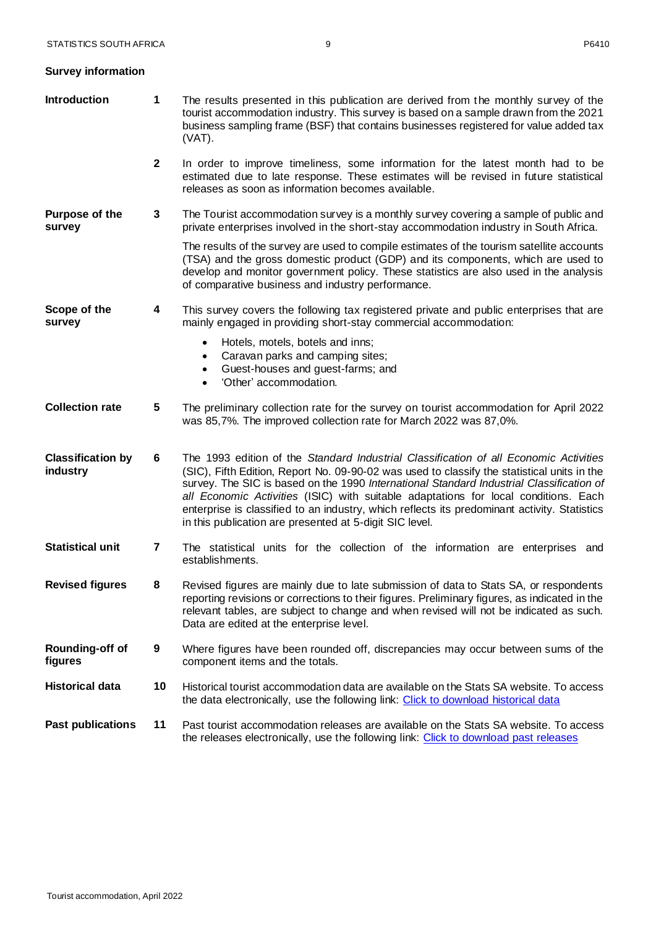<span id="page-9-0"></span>

|  |  | <b>Survey information</b> |
|--|--|---------------------------|
|--|--|---------------------------|

| <b>Introduction</b>                  | 1            | The results presented in this publication are derived from the monthly survey of the<br>tourist accommodation industry. This survey is based on a sample drawn from the 2021<br>business sampling frame (BSF) that contains businesses registered for value added tax<br>(VAT).                                                                                                                                                                                                                                                    |
|--------------------------------------|--------------|------------------------------------------------------------------------------------------------------------------------------------------------------------------------------------------------------------------------------------------------------------------------------------------------------------------------------------------------------------------------------------------------------------------------------------------------------------------------------------------------------------------------------------|
|                                      | $\mathbf{2}$ | In order to improve timeliness, some information for the latest month had to be<br>estimated due to late response. These estimates will be revised in future statistical<br>releases as soon as information becomes available.                                                                                                                                                                                                                                                                                                     |
| Purpose of the<br>survey             | 3            | The Tourist accommodation survey is a monthly survey covering a sample of public and<br>private enterprises involved in the short-stay accommodation industry in South Africa.                                                                                                                                                                                                                                                                                                                                                     |
|                                      |              | The results of the survey are used to compile estimates of the tourism satellite accounts<br>(TSA) and the gross domestic product (GDP) and its components, which are used to<br>develop and monitor government policy. These statistics are also used in the analysis<br>of comparative business and industry performance.                                                                                                                                                                                                        |
| Scope of the<br>survey               | 4            | This survey covers the following tax registered private and public enterprises that are<br>mainly engaged in providing short-stay commercial accommodation:                                                                                                                                                                                                                                                                                                                                                                        |
|                                      |              | Hotels, motels, botels and inns;<br>$\bullet$<br>Caravan parks and camping sites;<br>٠<br>Guest-houses and guest-farms; and<br>$\bullet$<br>'Other' accommodation.<br>$\bullet$                                                                                                                                                                                                                                                                                                                                                    |
| <b>Collection rate</b>               | 5            | The preliminary collection rate for the survey on tourist accommodation for April 2022<br>was 85,7%. The improved collection rate for March 2022 was 87,0%.                                                                                                                                                                                                                                                                                                                                                                        |
| <b>Classification by</b><br>industry | 6            | The 1993 edition of the Standard Industrial Classification of all Economic Activities<br>(SIC), Fifth Edition, Report No. 09-90-02 was used to classify the statistical units in the<br>survey. The SIC is based on the 1990 International Standard Industrial Classification of<br>all Economic Activities (ISIC) with suitable adaptations for local conditions. Each<br>enterprise is classified to an industry, which reflects its predominant activity. Statistics<br>in this publication are presented at 5-digit SIC level. |
| <b>Statistical unit</b>              | 7            | The statistical units for the collection of the information are enterprises and<br>establishments.                                                                                                                                                                                                                                                                                                                                                                                                                                 |
| <b>Revised figures</b>               | ୪            | Revised figures are mainly due to late submission of data to Stats SA, or respondents<br>reporting revisions or corrections to their figures. Preliminary figures, as indicated in the<br>relevant tables, are subject to change and when revised will not be indicated as such.<br>Data are edited at the enterprise level.                                                                                                                                                                                                       |
| Rounding-off of<br>figures           | 9            | Where figures have been rounded off, discrepancies may occur between sums of the<br>component items and the totals.                                                                                                                                                                                                                                                                                                                                                                                                                |
| <b>Historical data</b>               | 10           | Historical tourist accommodation data are available on the Stats SA website. To access<br>the data electronically, use the following link: Click to download historical data                                                                                                                                                                                                                                                                                                                                                       |
| <b>Past publications</b>             | 11           | Past tourist accommodation releases are available on the Stats SA website. To access<br>the releases electronically, use the following link: Click to download past releases                                                                                                                                                                                                                                                                                                                                                       |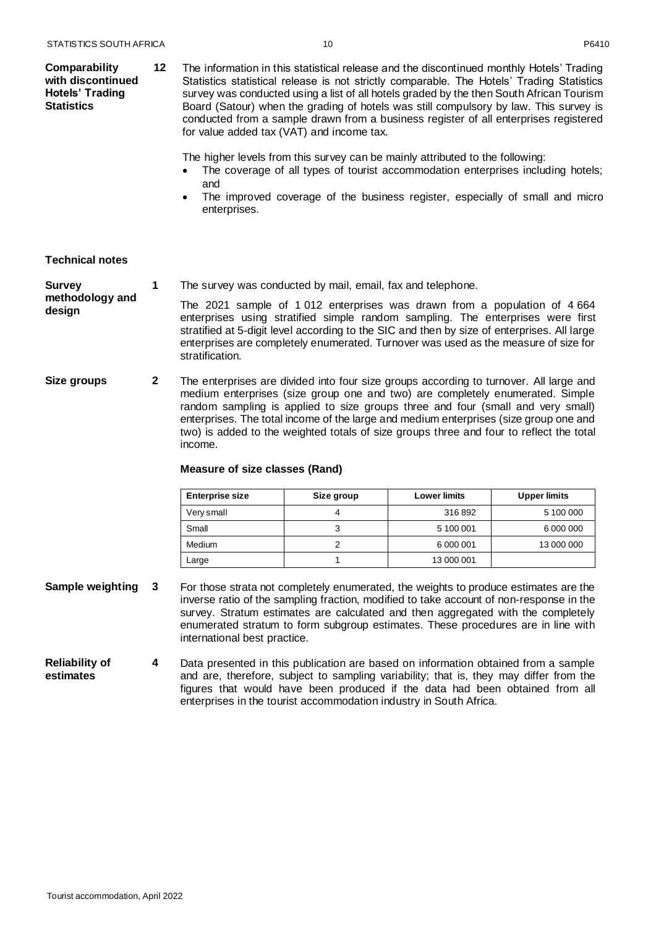| Comparability          | 12 | The information in this statistical release and the discontinued monthly Hotels' Trading  |
|------------------------|----|-------------------------------------------------------------------------------------------|
| with discontinued      |    | Statistics statistical release is not strictly comparable. The Hotels' Trading Statistics |
| <b>Hotels' Trading</b> |    | survey was conducted using a list of all hotels graded by the then South African Tourism  |
| <b>Statistics</b>      |    | Board (Satour) when the grading of hotels was still compulsory by law. This survey is     |
|                        |    | conducted from a sample drawn from a business register of all enterprises registered      |
|                        |    | for value added tax (VAT) and income tax.                                                 |

The higher levels from this survey can be mainly attributed to the following:

- The coverage of all types of tourist accommodation enterprises including hotels; and
- The improved coverage of the business register, especially of small and micro enterprises.

#### <span id="page-10-0"></span>**Technical notes**

#### **Survey 1** The survey was conducted by mail, email, fax and telephone.

**methodology and design** The 2021 sample of 1 012 enterprises was drawn from a population of 4 664 enterprises using stratified simple random sampling. The enterprises were first stratified at 5-digit level according to the SIC and then by size of enterprises. All large enterprises are completely enumerated. Turnover was used as the measure of size for stratification.

**Size groups 2** The enterprises are divided into four size groups according to turnover. All large and medium enterprises (size group one and two) are completely enumerated. Simple random sampling is applied to size groups three and four (small and very small) enterprises. The total income of the large and medium enterprises (size group one and two) is added to the weighted totals of size groups three and four to reflect the total income.

#### **Measure of size classes (Rand)**

| <b>Enterprise size</b> | Size group | <b>Lower limits</b> | <b>Upper limits</b> |
|------------------------|------------|---------------------|---------------------|
| Very small             |            | 316892              | 5 100 000           |
| Small                  |            | 5 100 001           | 6 000 000           |
| <b>Medium</b>          |            | 6 000 001           | 13 000 000          |
| Large                  |            | 13 000 001          |                     |

- **Sample weighting 3** For those strata not completely enumerated, the weights to produce estimates are the inverse ratio of the sampling fraction, modified to take account of non-response in the survey. Stratum estimates are calculated and then aggregated with the completely enumerated stratum to form subgroup estimates. These procedures are in line with international best practice.
- **Reliability of estimates 4** Data presented in this publication are based on information obtained from a sample and are, therefore, subject to sampling variability; that is, they may differ from the figures that would have been produced if the data had been obtained from all enterprises in the tourist accommodation industry in South Africa.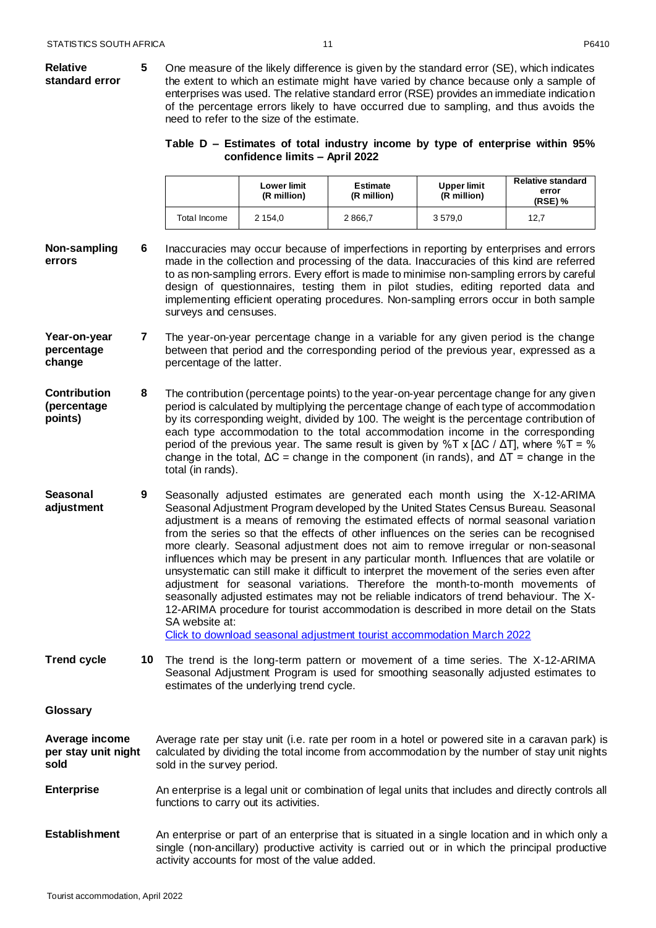#### <span id="page-11-0"></span>**Relative standard error 5** One measure of the likely difference is given by the standard error (SE), which indicates the extent to which an estimate might have varied by chance because only a sample of enterprises was used. The relative standard error (RSE) provides an immediate indication of the percentage errors likely to have occurred due to sampling, and thus avoids the need to refer to the size of the estimate. **Table D – Estimates of total industry income by type of enterprise within 95% confidence limits – April 2022 Lower limit (R million) Estimate (R million) Upper limit (R million) Relative standard error (RSE) %** Total Income | 2 154,0 | 2 866,7 | 3 579,0 | 12,7 **Non-sampling errors 6** Inaccuracies may occur because of imperfections in reporting by enterprises and errors made in the collection and processing of the data. Inaccuracies of this kind are referred to as non-sampling errors. Every effort is made to minimise non-sampling errors by careful design of questionnaires, testing them in pilot studies, editing reported data and implementing efficient operating procedures. Non-sampling errors occur in both sample surveys and censuses. **Year-on-year percentage change 7** The year-on-year percentage change in a variable for any given period is the change between that period and the corresponding period of the previous year, expressed as a percentage of the latter. **Contribution (percentage points) 8** The contribution (percentage points) to the year-on-year percentage change for any given period is calculated by multiplying the percentage change of each type of accommodation by its corresponding weight, divided by 100. The weight is the percentage contribution of each type accommodation to the total accommodation income in the corresponding period of the previous year. The same result is given by %T x [ΔC / ΔT], where %T = % change in the total,  $\Delta C$  = change in the component (in rands), and  $\Delta T$  = change in the total (in rands). **Seasonal adjustment 9** Seasonally adjusted estimates are generated each month using the X-12-ARIMA Seasonal Adjustment Program developed by the United States Census Bureau. Seasonal adjustment is a means of removing the estimated effects of normal seasonal variation from the series so that the effects of other influences on the series can be recognised more clearly. Seasonal adjustment does not aim to remove irregular or non-seasonal influences which may be present in any particular month. Influences that are volatile or unsystematic can still make it difficult to interpret the movement of the series even after adjustment for seasonal variations. Therefore the month-to-month movements of seasonally adjusted estimates may not be reliable indicators of trend behaviour. The X-12-ARIMA procedure for tourist accommodation is described in more detail on the Stats SA website at: [Click to download seasonal adjustment tourist accommodation March](http://www.statssa.gov.za/publications/P6410/Seasonal_adjustment_Tourist_Accommodation_March_2022.pdf) 2022 **Trend cycle 10** The trend is the long-term pattern or movement of a time series. The X-12-ARIMA Seasonal Adjustment Program is used for smoothing seasonally adjusted estimates to estimates of the underlying trend cycle. **Glossary Average income per stay unit night sold** Average rate per stay unit (i.e. rate per room in a hotel or powered site in a caravan park) is calculated by dividing the total income from accommodation by the number of stay unit nights sold in the survey period. **Enterprise** An enterprise is a legal unit or combination of legal units that includes and directly controls all functions to carry out its activities. **Establishment** An enterprise or part of an enterprise that is situated in a single location and in which only a single (non-ancillary) productive activity is carried out or in which the principal productive activity accounts for most of the value added.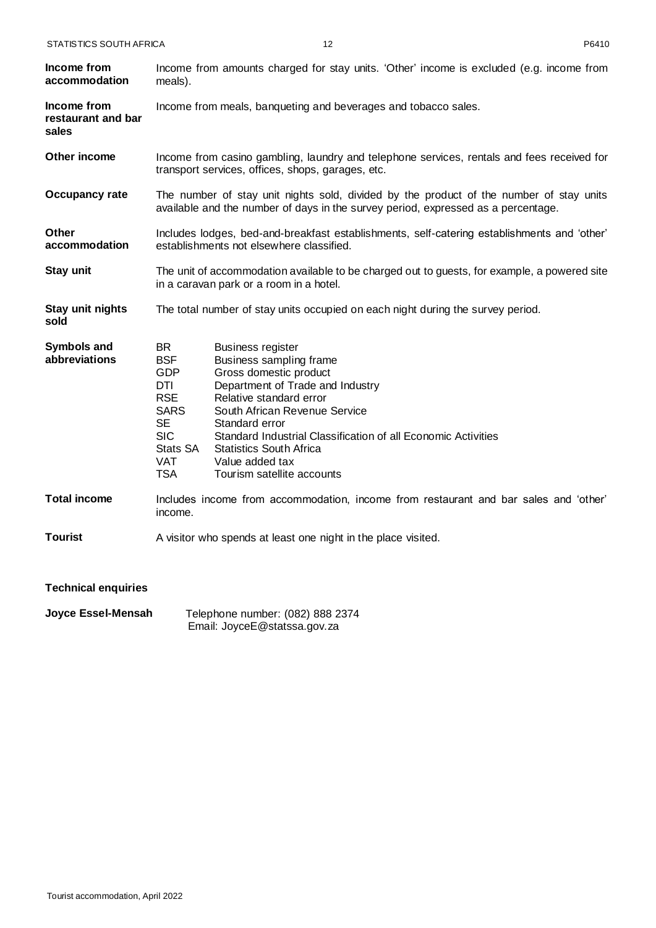| Income from<br>accommodation               | Income from amounts charged for stay units. 'Other' income is excluded (e.g. income from<br>meals).                                                                                                                                                                                                                                                                                                                                                                                                  |  |  |
|--------------------------------------------|------------------------------------------------------------------------------------------------------------------------------------------------------------------------------------------------------------------------------------------------------------------------------------------------------------------------------------------------------------------------------------------------------------------------------------------------------------------------------------------------------|--|--|
| Income from<br>restaurant and bar<br>sales | Income from meals, banqueting and beverages and tobacco sales.                                                                                                                                                                                                                                                                                                                                                                                                                                       |  |  |
| Other income                               | Income from casino gambling, laundry and telephone services, rentals and fees received for<br>transport services, offices, shops, garages, etc.                                                                                                                                                                                                                                                                                                                                                      |  |  |
| <b>Occupancy rate</b>                      | The number of stay unit nights sold, divided by the product of the number of stay units<br>available and the number of days in the survey period, expressed as a percentage.                                                                                                                                                                                                                                                                                                                         |  |  |
| Other<br>accommodation                     | Includes lodges, bed-and-breakfast establishments, self-catering establishments and 'other'<br>establishments not elsewhere classified.                                                                                                                                                                                                                                                                                                                                                              |  |  |
| Stay unit                                  | The unit of accommodation available to be charged out to guests, for example, a powered site<br>in a caravan park or a room in a hotel.                                                                                                                                                                                                                                                                                                                                                              |  |  |
| Stay unit nights<br>sold                   | The total number of stay units occupied on each night during the survey period.                                                                                                                                                                                                                                                                                                                                                                                                                      |  |  |
| <b>Symbols and</b><br>abbreviations        | BR.<br><b>Business register</b><br><b>BSF</b><br>Business sampling frame<br><b>GDP</b><br>Gross domestic product<br><b>DTI</b><br>Department of Trade and Industry<br><b>RSE</b><br>Relative standard error<br><b>SARS</b><br>South African Revenue Service<br><b>SE</b><br>Standard error<br><b>SIC</b><br>Standard Industrial Classification of all Economic Activities<br>Stats SA<br><b>Statistics South Africa</b><br><b>VAT</b><br>Value added tax<br><b>TSA</b><br>Tourism satellite accounts |  |  |
| <b>Total income</b>                        | Includes income from accommodation, income from restaurant and bar sales and 'other'<br>income.                                                                                                                                                                                                                                                                                                                                                                                                      |  |  |
| <b>Tourist</b>                             | A visitor who spends at least one night in the place visited.                                                                                                                                                                                                                                                                                                                                                                                                                                        |  |  |
| <b>Technical enquiries</b>                 |                                                                                                                                                                                                                                                                                                                                                                                                                                                                                                      |  |  |
| Joyce Essel-Mensah                         | Telephone number: (082) 888 2374                                                                                                                                                                                                                                                                                                                                                                                                                                                                     |  |  |

<span id="page-12-0"></span>Email: JoyceE@statssa.gov.za